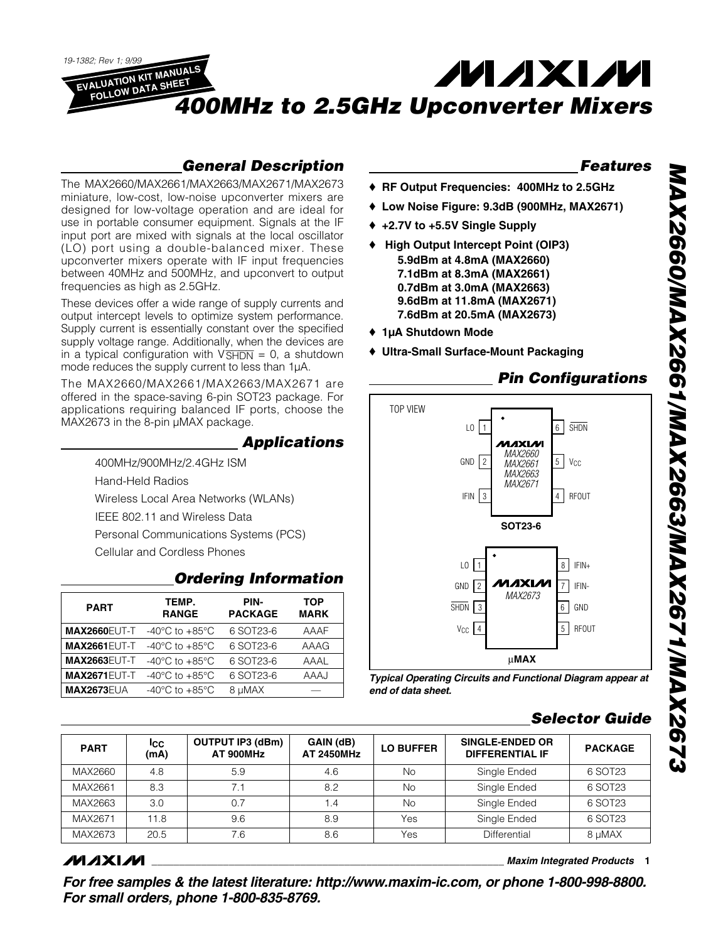**EVALUATION KIT MANUALS MAXM FOLLOW DATA SHEET** *400MHz to 2.5GHz Upconverter Mixers*

### *General Description*

The MAX2660/MAX2661/MAX2663/MAX2671/MAX2673 miniature, low-cost, low-noise upconverter mixers are designed for low-voltage operation and are ideal for use in portable consumer equipment. Signals at the IF input port are mixed with signals at the local oscillator (LO) port using a double-balanced mixer. These upconverter mixers operate with IF input frequencies between 40MHz and 500MHz, and upconvert to output frequencies as high as 2.5GHz.

*19-1382; Rev 1; 9/99*

These devices offer a wide range of supply currents and output intercept levels to optimize system performance. Supply current is essentially constant over the specified supply voltage range. Additionally, when the devices are in a typical configuration with  $V\overline{SHDN} = 0$ , a shutdown mode reduces the supply current to less than 1µA.

The MAX2660/MAX2661/MAX2663/MAX2671 are offered in the space-saving 6-pin SOT23 package. For applications requiring balanced IF ports, choose the MAX2673 in the 8-pin µMAX package.

#### *Applications*

400MHz/900MHz/2.4GHz ISM Hand-Held Radios Wireless Local Area Networks (WLANs) IEEE 802.11 and Wireless Data Personal Communications Systems (PCS) Cellular and Cordless Phones

#### *Ordering Information*

| <b>PART</b>         | TEMP.<br><b>RANGE</b>                | PIN-<br><b>PACKAGE</b> | <b>TOP</b><br><b>MARK</b> |
|---------------------|--------------------------------------|------------------------|---------------------------|
| <b>MAX2660EUT-T</b> | $-40^{\circ}$ C to $+85^{\circ}$ C   | 6 SOT23-6              | AAAF                      |
| <b>MAX2661EUT-T</b> | -40 $^{\circ}$ C to +85 $^{\circ}$ C | 6 SOT23-6              | AAAG                      |
| <b>MAX2663EUT-T</b> | $-40^{\circ}$ C to $+85^{\circ}$ C   | 6 SOT23-6              | AAAL                      |
| <b>MAX2671EUT-T</b> | $-40^{\circ}$ C to $+85^{\circ}$ C   | 6 SOT23-6              | <b>AAAJ</b>               |
| <b>MAX2673EUA</b>   | -40 $^{\circ}$ C to +85 $^{\circ}$ C | 8 µMAX                 |                           |

#### *Features*

- ♦ **RF Output Frequencies: 400MHz to 2.5GHz**
- ♦ **Low Noise Figure: 9.3dB (900MHz, MAX2671)**
- ♦ **+2.7V to +5.5V Single Supply**
- ♦ **High Output Intercept Point (OIP3) 5.9dBm at 4.8mA (MAX2660) 7.1dBm at 8.3mA (MAX2661) 0.7dBm at 3.0mA (MAX2663) 9.6dBm at 11.8mA (MAX2671) 7.6dBm at 20.5mA (MAX2673)**
- ♦ **1µA Shutdown Mode**
- ♦ **Ultra-Small Surface-Mount Packaging**

#### *Pin Configurations*



*Typical Operating Circuits and Functional Diagram appear at end of data sheet.*

### *Selector Guide*

| <b>PART</b> | Icc.<br>(mA) | <b>OUTPUT IP3 (dBm)</b><br>AT 900MHz | GAIN (dB)<br><b>AT 2450MHz</b> | SINGLE-ENDED OR<br><b>LO BUFFER</b><br><b>DIFFERENTIAL IF</b> |              | <b>PACKAGE</b> |
|-------------|--------------|--------------------------------------|--------------------------------|---------------------------------------------------------------|--------------|----------------|
| MAX2660     | 4.8          | 5.9                                  | 4.6                            | No.                                                           | Single Ended | 6 SOT23        |
| MAX2661     | 8.3          | 7.1                                  | 8.2                            | No.                                                           | Single Ended | 6 SOT23        |
| MAX2663     | 3.0          | 0.7                                  | 1.4                            | No.                                                           | Single Ended | 6 SOT23        |
| MAX2671     | 11.8         | 9.6                                  | 8.9                            | Yes                                                           | Single Ended | 6 SOT23        |
| MAX2673     | 20.5         | 7.6                                  | 8.6                            | Yes                                                           | Differential | 8 µMAX         |

### **MAXIM**

**\_\_\_\_\_\_\_\_\_\_\_\_\_\_\_\_\_\_\_\_\_\_\_\_\_\_\_\_\_\_\_\_\_\_\_\_\_\_\_\_\_\_\_\_\_\_\_\_\_\_\_\_\_\_\_\_\_\_\_\_\_\_\_\_** *Maxim Integrated Products* **1**

*For free samples & the latest literature: http://www.maxim-ic.com, or phone 1-800-998-8800. For small orders, phone 1-800-835-8769.*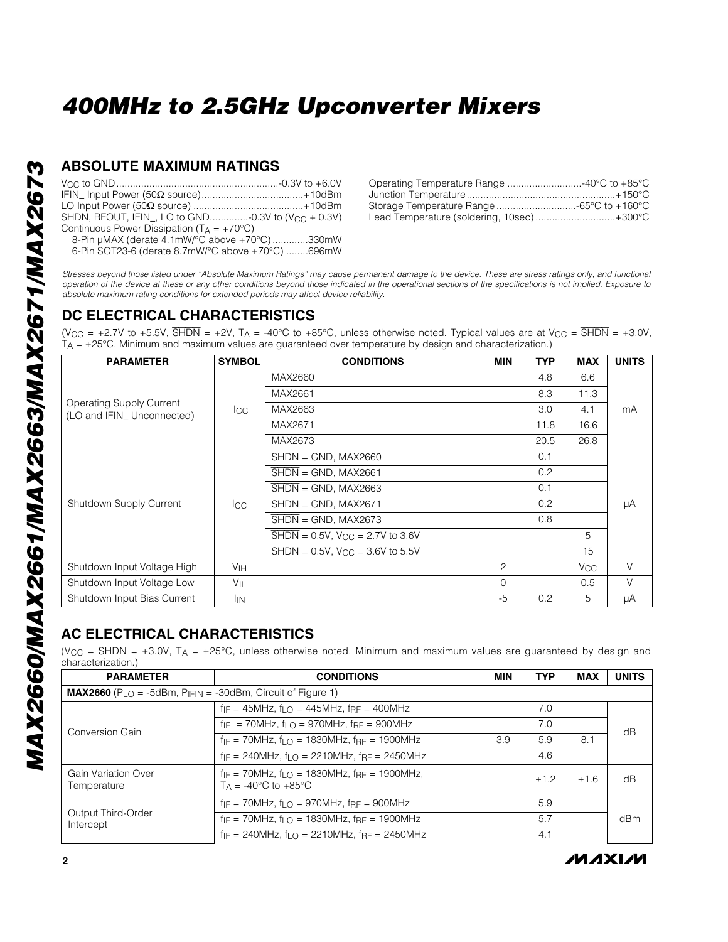#### **ABSOLUTE MAXIMUM RATINGS**

| SHDN, RFOUT, IFIN, LO to GND-0.3V to (V <sub>CC</sub> + 0.3V) |  |
|---------------------------------------------------------------|--|
| Continuous Power Dissipation ( $T_A = +70^{\circ}C$ )         |  |
| 8-Pin µMAX (derate 4.1mW/°C above +70°C) 330mW                |  |
| 6-Pin SOT23-6 (derate 8.7mW/°C above +70°C) 696mW             |  |

| Operating Temperature Range 40°C to +85°C |  |
|-------------------------------------------|--|
|                                           |  |
| Storage Temperature Range -65°C to +160°C |  |
| Lead Temperature (soldering, 10sec)+300°C |  |

*Stresses beyond those listed under "Absolute Maximum Ratings" may cause permanent damage to the device. These are stress ratings only, and functional operation of the device at these or any other conditions beyond those indicated in the operational sections of the specifications is not implied. Exposure to absolute maximum rating conditions for extended periods may affect device reliability.*

### **DC ELECTRICAL CHARACTERISTICS**

(V<sub>CC</sub> = +2.7V to +5.5V,  $\overline{\text{SHDN}}$  = +2V, T<sub>A</sub> = -40°C to +85°C, unless otherwise noted. Typical values are at V<sub>CC</sub> =  $\overline{\text{SHDN}}$  = +3.0V,  $T_A$  = +25°C. Minimum and maximum values are guaranteed over temperature by design and characterization.)

| <b>PARAMETER</b>                                             | <b>SYMBOL</b>   | <b>CONDITIONS</b>                                                | MIN            | <b>TYP</b> | <b>MAX</b>      | <b>UNITS</b> |  |  |  |  |
|--------------------------------------------------------------|-----------------|------------------------------------------------------------------|----------------|------------|-----------------|--------------|--|--|--|--|
|                                                              |                 | MAX2660                                                          |                | 4.8        | 6.6             |              |  |  |  |  |
|                                                              |                 | MAX2661                                                          |                | 8.3        | 11.3            |              |  |  |  |  |
| <b>Operating Supply Current</b><br>(LO and IFIN Unconnected) | $_{\rm lcc}$    | MAX2663                                                          |                | 3.0        | 4.1             | mA           |  |  |  |  |
|                                                              |                 | MAX2671                                                          |                | 11.8       | 16.6            |              |  |  |  |  |
|                                                              |                 | MAX2673                                                          |                | 20.5       | 26.8            |              |  |  |  |  |
|                                                              |                 | $\overline{\text{SHDN}} = \text{GND}$ , MAX2660                  |                | 0.1        |                 |              |  |  |  |  |
|                                                              |                 | $SHDN = GND$ , MAX2661                                           |                | 0.2        |                 |              |  |  |  |  |
|                                                              |                 | $SHDN = GND$ , MAX2663                                           |                | 0.1        |                 |              |  |  |  |  |
| Shutdown Supply Current                                      | lcc.            | $\overline{\text{SHDN}} = \text{GND}$ , MAX2671                  |                | 0.2        |                 | μA           |  |  |  |  |
|                                                              |                 | $\overline{\text{SHDN}}$ = GND, MAX2673                          |                | 0.8        |                 |              |  |  |  |  |
|                                                              |                 | $\overline{\text{SHDN}} = 0.5V$ , $V_{\text{CC}} = 2.7V$ to 3.6V |                |            | 5               |              |  |  |  |  |
|                                                              |                 | $\overline{\text{SHDN}} = 0.5V$ , $V_{\text{CC}} = 3.6V$ to 5.5V |                |            | 15              |              |  |  |  |  |
| Shutdown Input Voltage High                                  | V <sub>IH</sub> |                                                                  | $\overline{c}$ |            | V <sub>CC</sub> | $\vee$       |  |  |  |  |
| Shutdown Input Voltage Low                                   | $V_{IL}$        |                                                                  | $\mathbf 0$    |            | 0.5             | V            |  |  |  |  |
| Shutdown Input Bias Current                                  | <sup>I</sup> IN |                                                                  | -5             | 0.2        | 5               | μA           |  |  |  |  |

### **AC ELECTRICAL CHARACTERISTICS**

(V<sub>CC</sub> =  $\overline{\text{SHDN}}$  = +3.0V, T<sub>A</sub> = +25°C, unless otherwise noted. Minimum and maximum values are guaranteed by design and characterization.)

| <b>PARAMETER</b>                   | <b>CONDITIONS</b>                                                                                        | <b>MIN</b> | <b>TYP</b> | MAX  | <b>UNITS</b> |  |
|------------------------------------|----------------------------------------------------------------------------------------------------------|------------|------------|------|--------------|--|
|                                    | <b>MAX2660</b> ( $P_{LO}$ = -5dBm, $P_{IFIN}$ = -30dBm, Circuit of Figure 1)                             |            |            |      |              |  |
| Conversion Gain                    | $f_{IF} = 45MHz$ , $f_{IF} = 445MHz$ , $f_{RF} = 400MHz$                                                 |            | 7.0        |      |              |  |
|                                    | $f_{IF}$ = 70MHz, $f_{I}$ $\cap$ = 970MHz, $f_{RF}$ = 900MHz                                             |            | 7.0        |      | dB           |  |
|                                    | $f_{IF}$ = 70MHz, $f_{IF}$ = 1830MHz, $f_{RF}$ = 1900MHz                                                 | 3.9        | 5.9        | 8.1  |              |  |
|                                    | $f_{IF}$ = 240MHz, $f_{LO}$ = 2210MHz, $f_{RF}$ = 2450MHz                                                |            | 4.6        |      |              |  |
| Gain Variation Over<br>Temperature | $f_{IF}$ = 70MHz, $f_{I}$ $\cap$ = 1830MHz, $f_{RF}$ = 1900MHz,<br>$Ta = -40^{\circ}C$ to $+85^{\circ}C$ |            | ±1.2       | ±1.6 | dB           |  |
|                                    | $f_{IF}$ = 70MHz, $f_{IF}$ = 970MHz, $f_{RF}$ = 900MHz                                                   |            | 5.9        |      |              |  |
| Output Third-Order<br>Intercept    | $f_{IF}$ = 70MHz, $f_{IF}$ = 1830MHz, $f_{RF}$ = 1900MHz                                                 |            | 5.7        |      | dBm          |  |
|                                    | $f_{IF}$ = 240MHz, $f_{IF}$ = 2210MHz, $f_{RF}$ = 2450MHz                                                |            | 4.1        |      |              |  |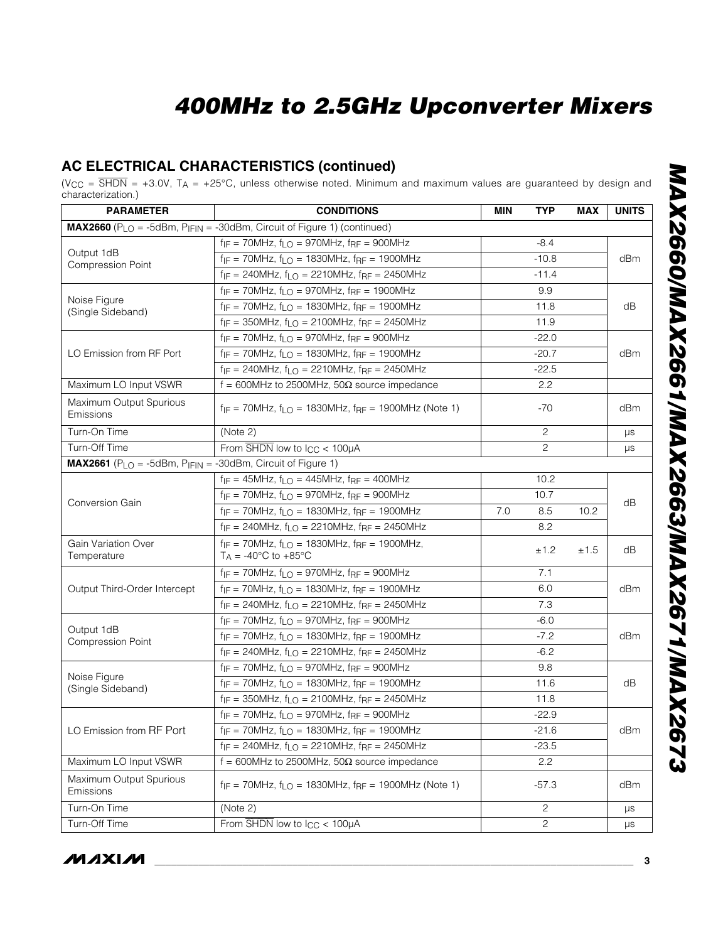### **AC ELECTRICAL CHARACTERISTICS (continued)**

(V<sub>CC</sub> = SHDN = +3.0V, T<sub>A</sub> = +25°C, unless otherwise noted. Minimum and maximum values are guaranteed by design and characterization.)

| <b>PARAMETER</b>                                                                     | <b>CONDITIONS</b>                                                                                   | MIN                | <b>TYP</b>     | MAX  | <b>UNITS</b> |
|--------------------------------------------------------------------------------------|-----------------------------------------------------------------------------------------------------|--------------------|----------------|------|--------------|
|                                                                                      | MAX2660 (PLO = -5dBm, PIFIN = -30dBm, Circuit of Figure 1) (continued)                              |                    |                |      |              |
|                                                                                      | $f_{IF}$ = 70MHz, $f_{LO}$ = 970MHz, $f_{RF}$ = 900MHz                                              |                    | $-8.4$         |      |              |
| Output 1dB                                                                           | $f_{IF}$ = 70MHz, $f_{LO}$ = 1830MHz, $f_{RF}$ = 1900MHz                                            |                    | $-10.8$        |      | dBm          |
| <b>Compression Point</b>                                                             | $f_{IF} = 240MHz$ , $f_{LO} = 2210MHz$ , $f_{RF} = 2450MHz$                                         |                    |                |      |              |
|                                                                                      | $f_{IF}$ = 70MHz, $f_{LO}$ = 970MHz, $f_{RF}$ = 1900MHz                                             |                    | 9.9            |      |              |
| Noise Figure                                                                         | $f_{IF}$ = 70MHz, $f_{LO}$ = 1830MHz, $f_{RF}$ = 1900MHz                                            |                    | 11.8           |      | dB           |
| (Single Sideband)                                                                    | $f_{IF} = 350 MHz$ , $f_{LO} = 2100 MHz$ , $f_{RF} = 2450 MHz$                                      |                    | 11.9           |      |              |
|                                                                                      | $f_{IF}$ = 70MHz, $f_{LO}$ = 970MHz, $f_{RF}$ = 900MHz                                              |                    | $-22.0$        |      |              |
| LO Emission from RF Port                                                             | $f_{IF}$ = 70MHz, $f_{LO}$ = 1830MHz, $f_{RF}$ = 1900MHz                                            |                    | $-20.7$        |      | dBm          |
|                                                                                      | $f_{IF} = 240 MHz$ , $f_{LO} = 2210 MHz$ , $f_{RF} = 2450 MHz$                                      |                    | $-22.5$        |      |              |
| Maximum LO Input VSWR                                                                | $f = 600$ MHz to 2500MHz, 50 $\Omega$ source impedance                                              |                    | 2.2            |      |              |
| Maximum Output Spurious<br>Emissions                                                 | $f_{IF}$ = 70MHz, $f_{LO}$ = 1830MHz, $f_{RF}$ = 1900MHz (Note 1)                                   |                    | -70            |      | dBm          |
| Turn-On Time                                                                         | (Note 2)                                                                                            |                    | $\overline{c}$ |      | μs           |
| Turn-Off Time                                                                        | From $\overline{\text{SHDN}}$ low to $\text{ICC}$ < 100µA                                           |                    | $\overline{c}$ |      | μs           |
| $MAX2661$ (P <sub>LO</sub> = -5dBm, P <sub>IFIN</sub> = -30dBm, Circuit of Figure 1) |                                                                                                     |                    |                |      |              |
|                                                                                      | $f_{IF} = 45MHz$ , $f_{LO} = 445MHz$ , $f_{RF} = 400MHz$                                            |                    | 10.2           |      |              |
| <b>Conversion Gain</b>                                                               | $f_{IF}$ = 70MHz, $f_{LO}$ = 970MHz, $f_{RF}$ = 900MHz                                              |                    |                | dB   |              |
|                                                                                      | $f_{IF}$ = 70MHz, $f_{LO}$ = 1830MHz, $f_{RF}$ = 1900MHz                                            | 8.5<br>7.0<br>10.2 |                |      |              |
|                                                                                      | $f_{IF} = 240MHz$ , $f_{LO} = 2210MHz$ , $f_{RF} = 2450MHz$                                         |                    |                |      |              |
| Gain Variation Over<br>Temperature                                                   | $f_{IF}$ = 70MHz, $f_{LO}$ = 1830MHz, $f_{RF}$ = 1900MHz,<br>$T_A = -40^{\circ}C$ to $+85^{\circ}C$ |                    | ±1.2           | ±1.5 | dB           |
|                                                                                      | $f_{IF}$ = 70MHz, $f_{LO}$ = 970MHz, $f_{RF}$ = 900MHz                                              |                    |                |      |              |
| Output Third-Order Intercept                                                         | $f_{IF}$ = 70MHz, $f_{LO}$ = 1830MHz, $f_{RF}$ = 1900MHz                                            |                    | 6.0            |      | dBm          |
|                                                                                      | $f_{IF} = 240 MHz$ , $f_{LO} = 2210 MHz$ , $f_{RF} = 2450 MHz$                                      |                    |                |      |              |
|                                                                                      | $f_{IF}$ = 70MHz, $f_{LO}$ = 970MHz, $f_{RF}$ = 900MHz                                              |                    | $-6.0$         |      |              |
| Output 1dB<br><b>Compression Point</b>                                               | $f_{IF}$ = 70MHz, $f_{LO}$ = 1830MHz, $f_{RF}$ = 1900MHz                                            |                    | $-7.2$         |      | dBm          |
|                                                                                      | $f_{IF} = 240MHz$ , $f_{LO} = 2210MHz$ , $f_{RF} = 2450MHz$                                         |                    | $-6.2$         |      |              |
|                                                                                      | $f_{IF}$ = 70MHz, $f_{LO}$ = 970MHz, $f_{RF}$ = 900MHz                                              |                    | 9.8            |      |              |
| Noise Figure<br>(Single Sideband)                                                    | $f_{IF}$ = 70MHz, $f_{LO}$ = 1830MHz, $f_{RF}$ = 1900MHz                                            |                    | 11.6           |      | dB           |
|                                                                                      | $f_{IF} = 350 MHz$ , $f_{LO} = 2100 MHz$ , $f_{RF} = 2450 MHz$                                      |                    | 11.8           |      |              |
|                                                                                      | $f_{IF}$ = 70MHz, $f_{LO}$ = 970MHz, $f_{RF}$ = 900MHz                                              |                    | $-22.9$        |      |              |
| LO Emission from RF Port                                                             | $f_{IF}$ = 70MHz, $f_{LO}$ = 1830MHz, $f_{RF}$ = 1900MHz                                            |                    | $-21.6$        |      | dBm          |
|                                                                                      | $f_{IF} = 240MHz$ , $f_{LO} = 2210MHz$ , $f_{RF} = 2450MHz$                                         |                    | $-23.5$        |      |              |
| Maximum LO Input VSWR                                                                | f = 600MHz to 2500MHz, 50 $\Omega$ source impedance                                                 |                    | 2.2            |      |              |
| Maximum Output Spurious<br>Emissions                                                 | $f_{IF}$ = 70MHz, $f_{LO}$ = 1830MHz, $f_{RF}$ = 1900MHz (Note 1)                                   |                    | $-57.3$        |      | dBm          |
| Turn-On Time                                                                         | (Note 2)                                                                                            |                    | $\overline{c}$ |      | $\mu s$      |
| Turn-Off Time                                                                        | From $\overline{\text{SHDN}}$ low to $\text{I}_{\text{CC}} < 100 \mu\text{A}$                       |                    | $\overline{c}$ |      | μs           |

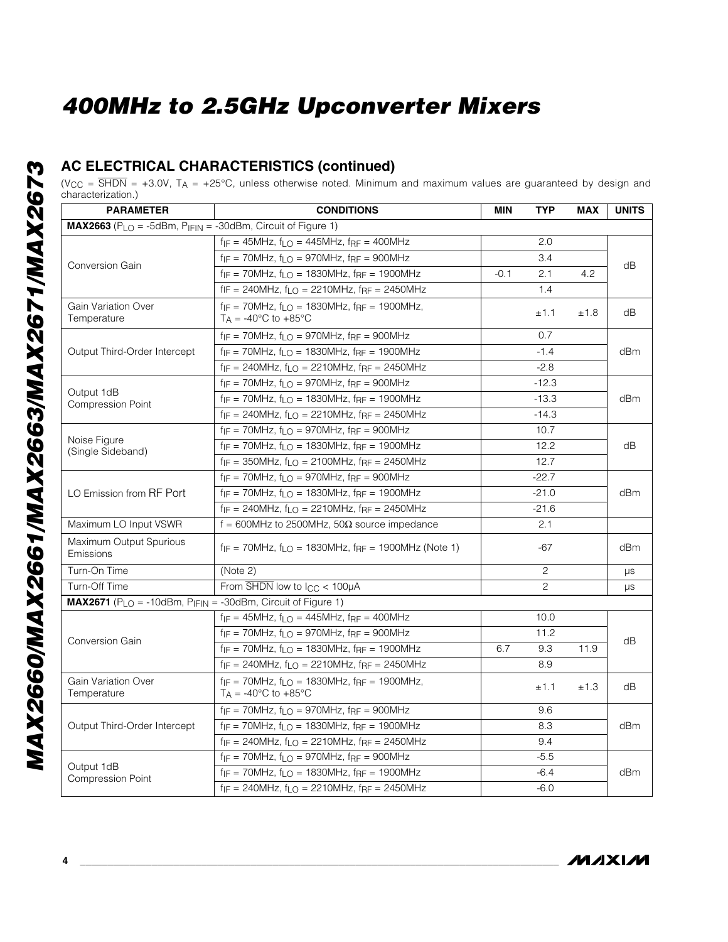### **AC ELECTRICAL CHARACTERISTICS (continued)**

(V<sub>CC</sub> =  $\overline{\text{SHDN}}$  = +3.0V, T<sub>A</sub> = +25°C, unless otherwise noted. Minimum and maximum values are guaranteed by design and characterization.)

| <b>PARAMETER</b>                                            | <b>CONDITIONS</b><br><b>MIN</b><br><b>TYP</b><br><b>MAX</b>                                           |        |                |      |         |  |  |
|-------------------------------------------------------------|-------------------------------------------------------------------------------------------------------|--------|----------------|------|---------|--|--|
| MAX2663 (PLO = -5dBm, PIFIN = -30dBm, Circuit of Figure 1)  |                                                                                                       |        |                |      |         |  |  |
|                                                             | $f_{IF} = 45MHz$ , $f_{LO} = 445MHz$ , $f_{RF} = 400MHz$                                              |        | 2.0            |      |         |  |  |
| <b>Conversion Gain</b>                                      | $f_{IF}$ = 70MHz, $f_{LO}$ = 970MHz, $f_{RF}$ = 900MHz                                                |        | 3.4            |      | dB      |  |  |
|                                                             | $f_{IF}$ = 70MHz, $f_{LO}$ = 1830MHz, $f_{RF}$ = 1900MHz                                              | $-0.1$ | 2.1            | 4.2  |         |  |  |
|                                                             | $fIF = 240MHz$ , $f_{LO} = 2210MHz$ , $f_{RF} = 2450MHz$                                              |        | 1.4            |      |         |  |  |
| Gain Variation Over<br>Temperature                          | $f_{IF}$ = 70MHz, $f_{LO}$ = 1830MHz, $f_{RF}$ = 1900MHz,<br>$T_A = -40^{\circ}$ C to $+85^{\circ}$ C |        | ±1.1           | ±1.8 | dB      |  |  |
|                                                             | $f_{IF}$ = 70MHz, $f_{LO}$ = 970MHz, $f_{RF}$ = 900MHz                                                |        | 0.7            |      |         |  |  |
| Output Third-Order Intercept                                | $f_{IF}$ = 70MHz, $f_{LO}$ = 1830MHz, $f_{RF}$ = 1900MHz                                              |        | $-1.4$         |      | dBm     |  |  |
|                                                             | $f_{IF}$ = 240MHz, $f_{LO}$ = 2210MHz, $f_{RF}$ = 2450MHz                                             |        | $-2.8$         |      |         |  |  |
|                                                             | $f_{IF}$ = 70MHz, $f_{LO}$ = 970MHz, $f_{RF}$ = 900MHz                                                |        | $-12.3$        |      |         |  |  |
| Output 1dB<br><b>Compression Point</b>                      | $f_{IF}$ = 70MHz, $f_{LO}$ = 1830MHz, $f_{RF}$ = 1900MHz                                              |        | $-13.3$        |      | dBm     |  |  |
|                                                             | $f_{IF}$ = 240MHz, $f_{LO}$ = 2210MHz, $f_{RF}$ = 2450MHz                                             |        | $-14.3$        |      |         |  |  |
|                                                             | $f_{IF}$ = 70MHz, $f_{LO}$ = 970MHz, $f_{RF}$ = 900MHz                                                |        | 10.7           |      |         |  |  |
| Noise Figure<br>(Single Sideband)                           | $f_{IF}$ = 70MHz, $f_{LO}$ = 1830MHz, $f_{RF}$ = 1900MHz                                              |        | 12.2           |      | dB      |  |  |
|                                                             | $f_{IF}$ = 350MHz, $f_{LO}$ = 2100MHz, $f_{RF}$ = 2450MHz                                             |        | 12.7           |      |         |  |  |
|                                                             | $f_{IF}$ = 70MHz, $f_{LO}$ = 970MHz, $f_{RF}$ = 900MHz                                                |        | $-22.7$        |      |         |  |  |
| LO Emission from RF Port                                    | $f_{IF}$ = 70MHz, $f_{LO}$ = 1830MHz, $f_{RF}$ = 1900MHz                                              |        | $-21.0$        |      | dBm     |  |  |
|                                                             | $f_{IF}$ = 240MHz, $f_{LO}$ = 2210MHz, $f_{RF}$ = 2450MHz                                             |        | $-21.6$        |      |         |  |  |
| Maximum LO Input VSWR                                       | $f = 600$ MHz to 2500MHz, 50 $\Omega$ source impedance                                                |        | 2.1            |      |         |  |  |
| Maximum Output Spurious<br>Emissions                        | $f_{IF}$ = 70MHz, $f_{LO}$ = 1830MHz, $f_{RF}$ = 1900MHz (Note 1)                                     |        | $-67$          |      | dBm     |  |  |
| Turn-On Time                                                | (Note 2)                                                                                              |        | $\overline{c}$ |      | $\mu s$ |  |  |
| Turn-Off Time                                               | From $\overline{\text{SHDN}}$ low to $I_{CC}$ < 100µA                                                 |        | $\overline{c}$ |      | $\mu s$ |  |  |
| MAX2671 (PLO = -10dBm, PIFIN = -30dBm, Circuit of Figure 1) |                                                                                                       |        |                |      |         |  |  |
|                                                             | $f_{IF} = 45MHz$ , $f_{LO} = 445MHz$ , $f_{RF} = 400MHz$                                              |        | 10.0           |      |         |  |  |
| <b>Conversion Gain</b>                                      | $f_{IF}$ = 70MHz, $f_{LO}$ = 970MHz, $f_{RF}$ = 900MHz                                                |        | 11.2           |      | dB      |  |  |
|                                                             | $f_{IF}$ = 70MHz, $f_{LO}$ = 1830MHz, $f_{RF}$ = 1900MHz                                              | 6.7    | 9.3            | 11.9 |         |  |  |
|                                                             | $f_{IF} = 240MHz$ , $f_{LO} = 2210MHz$ , $f_{RF} = 2450MHz$                                           |        | 8.9            |      |         |  |  |
| <b>Gain Variation Over</b><br>Temperature                   | $f_{IF}$ = 70MHz, $f_{LO}$ = 1830MHz, $f_{RF}$ = 1900MHz,<br>$T_A = -40^{\circ}$ C to $+85^{\circ}$ C |        | ±1.1           | ±1.3 | dB      |  |  |
|                                                             | $f_{IF}$ = 70MHz, $f_{LO}$ = 970MHz, $f_{RF}$ = 900MHz                                                |        | 9.6            |      |         |  |  |
| Output Third-Order Intercept                                | $f_{IF}$ = 70MHz, $f_{LO}$ = 1830MHz, $f_{RF}$ = 1900MHz                                              |        | 8.3            |      | dBm     |  |  |
|                                                             | $f_{IF}$ = 240MHz, $f_{LO}$ = 2210MHz, $f_{RF}$ = 2450MHz                                             |        |                |      |         |  |  |
|                                                             | $f_{IF}$ = 70MHz, $f_{LO}$ = 970MHz, $f_{RF}$ = 900MHz                                                |        | $-5.5$         |      |         |  |  |
| Output 1dB<br><b>Compression Point</b>                      | $f_{IF}$ = 70MHz, $f_{LO}$ = 1830MHz, $f_{RF}$ = 1900MHz<br>$-6.4$                                    |        |                |      |         |  |  |
|                                                             | $f_{IF} = 240MHz$ , $f_{LO} = 2210MHz$ , $f_{RF} = 2450MHz$                                           |        | $-6.0$         |      |         |  |  |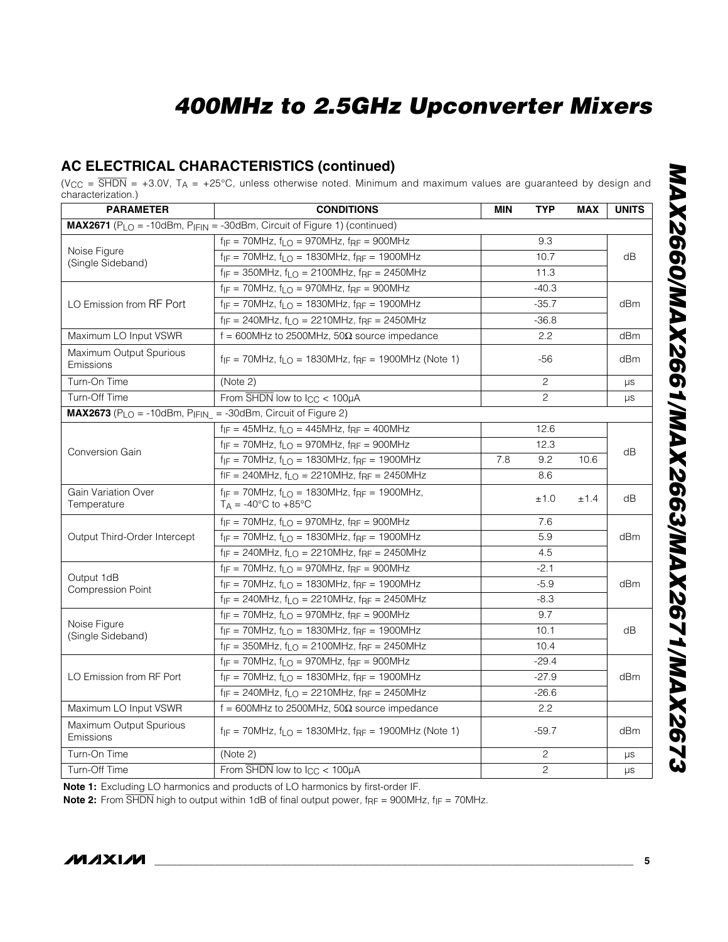#### **AC ELECTRICAL CHARACTERISTICS (continued)**

(V<sub>CC</sub> = SHDN = +3.0V, T<sub>A</sub> = +25°C, unless otherwise noted. Minimum and maximum values are guaranteed by design and characterization.)

| 01 101 QUITILLOID 1.7<br><b>PARAMETER</b>                                     | <b>CONDITIONS</b>                                                                                   | <b>MIN</b> | <b>TYP</b>     | <b>MAX</b> | <b>UNITS</b> |
|-------------------------------------------------------------------------------|-----------------------------------------------------------------------------------------------------|------------|----------------|------------|--------------|
|                                                                               | MAX2671 (PLO = -10dBm, PIFIN = -30dBm, Circuit of Figure 1) (continued)                             |            |                |            |              |
|                                                                               | $f_{IF}$ = 70MHz, $f_{LO}$ = 970MHz, $f_{RF}$ = 900MHz                                              |            | 9.3            |            |              |
| Noise Figure<br>(Single Sideband)                                             | $f_{IF}$ = 70MHz, $f_{LO}$ = 1830MHz, $f_{RF}$ = 1900MHz                                            |            | dB             |            |              |
|                                                                               | $f_{IF} = 350 MHz$ , $f_{LO} = 2100 MHz$ , $f_{RF} = 2450 MHz$                                      |            |                |            |              |
|                                                                               | $f_{IF}$ = 70MHz, $f_{LO}$ = 970MHz, $f_{RF}$ = 900MHz                                              |            | $-40.3$        |            |              |
| LO Emission from RF Port                                                      | $f_{IF}$ = 70MHz, $f_{LO}$ = 1830MHz, $f_{RF}$ = 1900MHz                                            |            | $-35.7$        |            | dBm          |
|                                                                               | $f_{IF} = 240MHz$ , $f_{LO} = 2210MHz$ , $f_{RF} = 2450MHz$                                         |            | $-36.8$        |            |              |
| Maximum LO Input VSWR                                                         | f = 600MHz to 2500MHz, 50 $\Omega$ source impedance                                                 |            | 2.2            |            | dBm          |
| Maximum Output Spurious<br>Emissions                                          | $f_{IF}$ = 70MHz, $f_{LO}$ = 1830MHz, $f_{RF}$ = 1900MHz (Note 1)                                   |            | $-56$          |            | dBm          |
| Turn-On Time                                                                  | (Note 2)                                                                                            |            | $\overline{c}$ |            | μs           |
| Turn-Off Time                                                                 | From $\overline{\text{SHDN}}$ low to $\text{ICC}$ < 100µA                                           |            | $\overline{c}$ |            | μs           |
| <b>MAX2673</b> ( $P_{LO}$ = -10dBm, $P_{IFIN}$ = -30dBm, Circuit of Figure 2) |                                                                                                     |            |                |            |              |
|                                                                               | $f_{IF} = 45MHz$ , $f_{LO} = 445MHz$ , $f_{RF} = 400MHz$                                            |            | 12.6           |            |              |
|                                                                               | $f_{IF}$ = 70MHz, $f_{LO}$ = 970MHz, $f_{RF}$ = 900MHz                                              |            |                | dB         |              |
| <b>Conversion Gain</b>                                                        | $f_{IF}$ = 70MHz, $f_{LO}$ = 1830MHz, $f_{RF}$ = 1900MHz                                            | 10.6       |                |            |              |
|                                                                               | $f = 240$ MHz, $f_{LO} = 2210$ MHz, $f_{RF} = 2450$ MHz                                             |            |                |            |              |
| <b>Gain Variation Over</b><br>Temperature                                     | $f_{IF}$ = 70MHz, $f_{LO}$ = 1830MHz, $f_{RF}$ = 1900MHz,<br>$T_A = -40^{\circ}C$ to $+85^{\circ}C$ |            | ±1.0           | ±1.4       | dB           |
|                                                                               | $f_{IF}$ = 70MHz, $f_{LO}$ = 970MHz, $f_{RF}$ = 900MHz                                              |            | 7.6            |            |              |
| Output Third-Order Intercept                                                  | $f_{IF}$ = 70MHz, $f_{LO}$ = 1830MHz, $f_{RF}$ = 1900MHz                                            |            | dBm            |            |              |
|                                                                               | $f_{IF} = 240 MHz$ , $f_{LO} = 2210 MHz$ , $f_{RF} = 2450 MHz$                                      |            |                |            |              |
|                                                                               | $f_{IF}$ = 70MHz, $f_{LO}$ = 970MHz, $f_{RF}$ = 900MHz                                              |            | $-2.1$         |            |              |
| Output 1dB<br><b>Compression Point</b>                                        | $f_{IF}$ = 70MHz, $f_{LO}$ = 1830MHz, $f_{RF}$ = 1900MHz                                            |            | dBm            |            |              |
|                                                                               | $f_{IF}$ = 240MHz, $f_{LO}$ = 2210MHz, $f_{RF}$ = 2450MHz                                           |            | $-8.3$         |            |              |
|                                                                               | $f_{IF}$ = 70MHz, $f_{LO}$ = 970MHz, $f_{RF}$ = 900MHz                                              |            | 9.7            |            |              |
| Noise Figure<br>(Single Sideband)                                             | $f_{IF}$ = 70MHz, $f_{LO}$ = 1830MHz, $f_{RF}$ = 1900MHz                                            |            | 10.1           |            | dB           |
|                                                                               | $f_{IF} = 350 MHz$ , $f_{LO} = 2100 MHz$ , $f_{RF} = 2450 MHz$                                      |            | 10.4           |            |              |
|                                                                               | $f_{IF}$ = 70MHz, $f_{LO}$ = 970MHz, $f_{RF}$ = 900MHz                                              |            | $-29.4$        |            |              |
| LO Emission from RF Port                                                      | $f_{IF}$ = 70MHz, $f_{LO}$ = 1830MHz, $f_{RF}$ = 1900MHz                                            |            | $-27.9$        |            | dBm          |
|                                                                               | $f_{IF}$ = 240MHz, $f_{LO}$ = 2210MHz, $f_{RF}$ = 2450MHz                                           |            | $-26.6$        |            |              |
| Maximum LO Input VSWR                                                         | $f = 600$ MHz to 2500MHz, 50 $\Omega$ source impedance                                              |            | 2.2            |            |              |
| Maximum Output Spurious<br>Emissions                                          | $f_{IF}$ = 70MHz, $f_{LO}$ = 1830MHz, $f_{RF}$ = 1900MHz (Note 1)                                   |            | $-59.7$        |            | dBm          |
| Turn-On Time                                                                  | (Note 2)                                                                                            |            | $\overline{c}$ |            | μs           |
| Turn-Off Time                                                                 | From SHDN low to I <sub>CC</sub> < 100µA                                                            |            | $\overline{c}$ |            | μs           |

**Note 1:** Excluding LO harmonics and products of LO harmonics by first-order IF.

**Note 2:** From SHDN high to output within 1dB of final output power, f<sub>RF</sub> = 900MHz, f<sub>IF</sub> = 70MHz.

**MAXIM**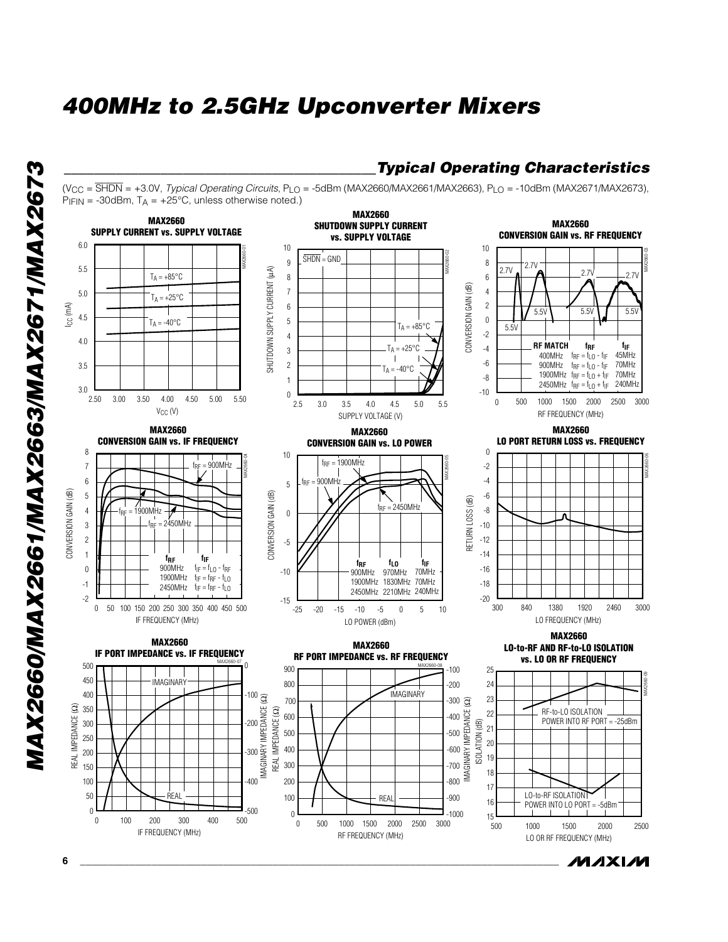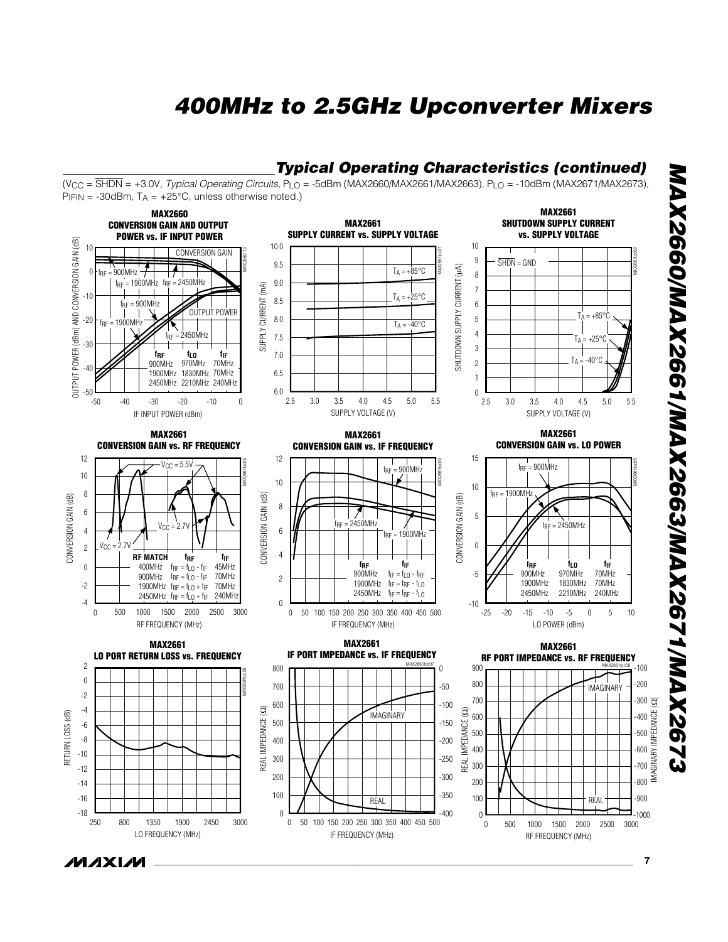

*MAX2660/MAX2661/MAX2663/MAX2671/MAX2673*  MAX2660/MAX2661/MAX2663/MAX2671/MAX267

*\_\_\_\_\_\_\_\_\_\_\_\_\_\_\_\_\_\_\_\_\_\_\_\_\_\_\_\_\_\_\_\_\_\_\_\_\_\_\_\_\_\_\_\_\_\_\_\_\_\_\_\_\_\_\_\_\_\_\_\_\_\_\_\_\_\_\_\_\_\_\_\_\_\_\_\_\_\_\_\_\_\_\_\_\_\_\_* **7**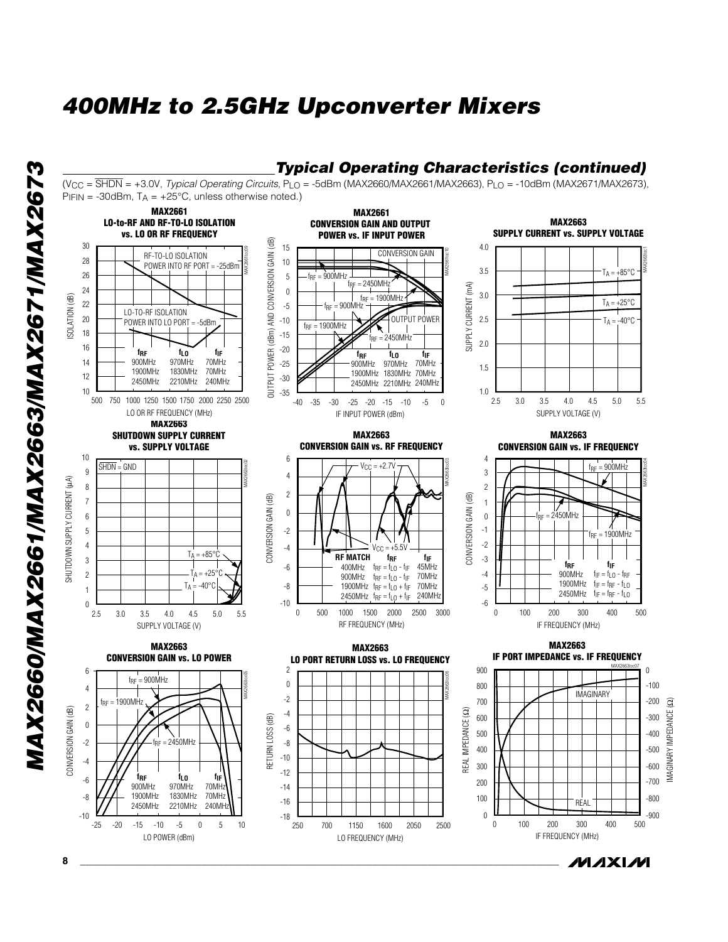

*MAX2660/MAX2661/MAX2663/MAX2671/MAX2673*  MAX2660/MAX2661/MAX2663/MAX2671/MAX2673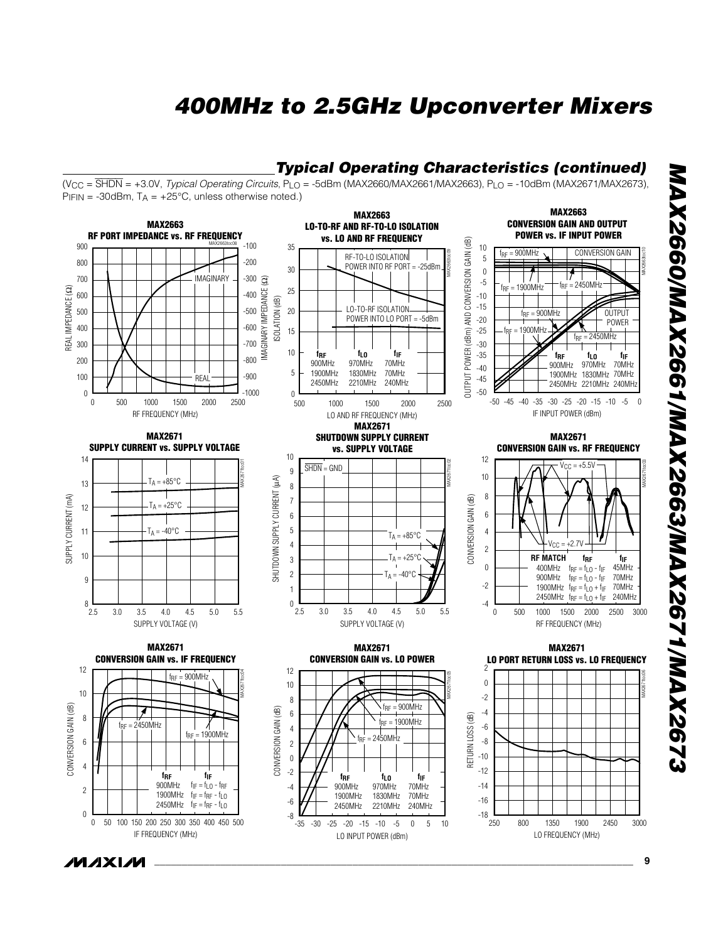

*MAX2660/MAX2661/MAX2663/MAX2671/MAX2673*  MAX2660/MAX2661/MAX2663/MAX2671/MAX2671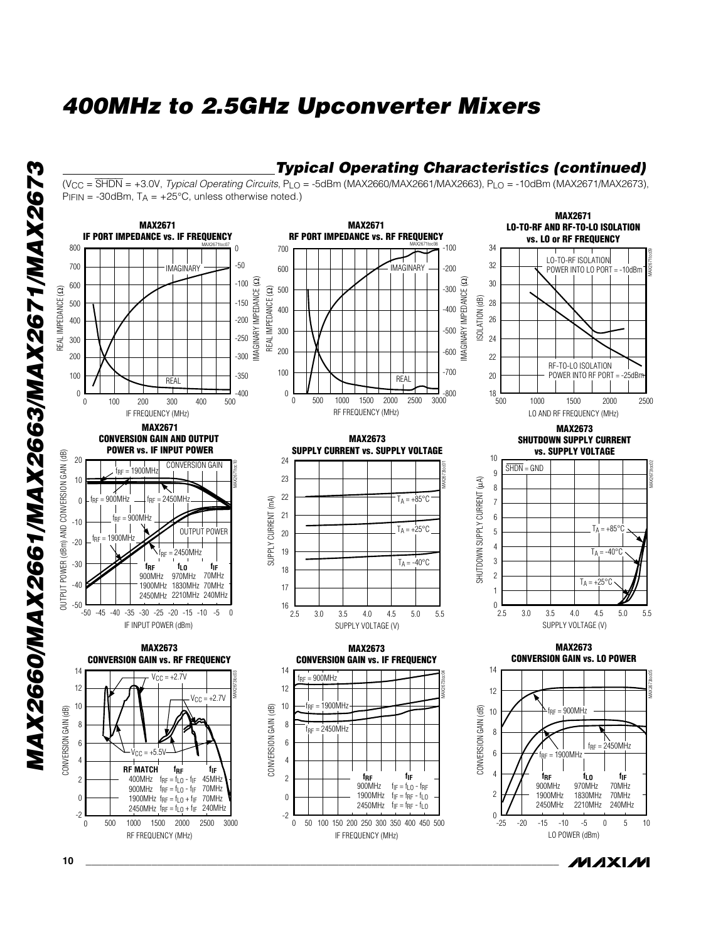

*MAXIM* 

*MAX2660/MAX2661/MAX2663/MAX2671/MAX2673*  MAX2660/MAX2661/MAX2663/MAX2671/MAX2673

**10 \_\_\_\_\_\_\_\_\_\_\_\_\_\_\_\_\_\_\_\_\_\_\_\_\_\_\_\_\_\_\_\_\_\_\_\_\_\_\_\_\_\_\_\_\_\_\_\_\_\_\_\_\_\_\_\_\_\_\_\_\_\_\_\_\_\_\_\_\_\_\_\_\_\_\_\_\_\_\_\_\_\_\_\_\_\_**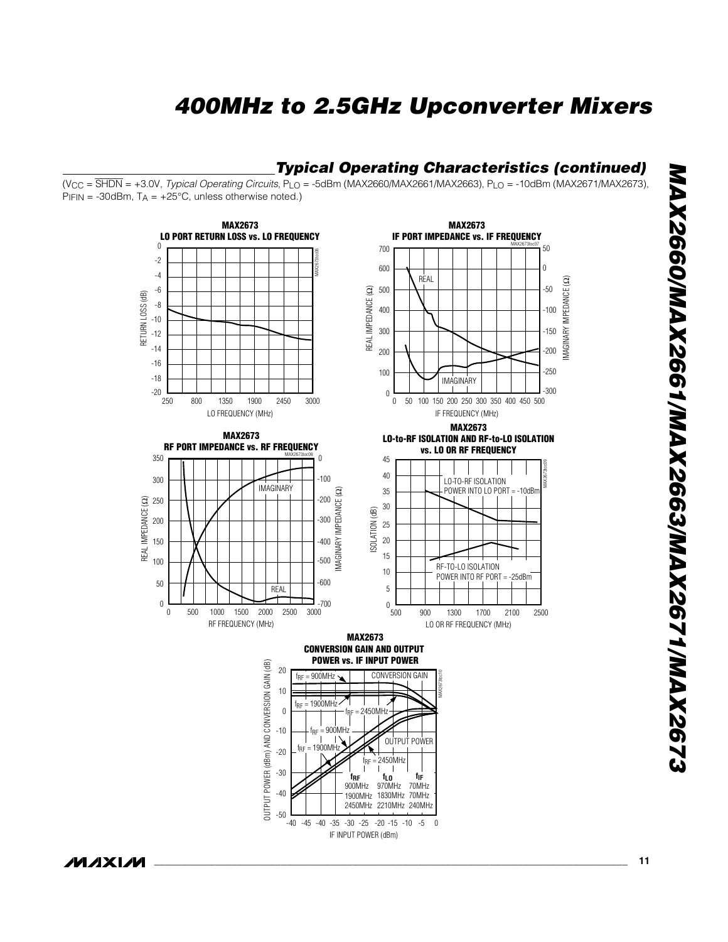#### *Typical Operating Characteristics (continued)*

(VCC = SHDN = +3.0V, *Typical Operating Circuits*, PLO = -5dBm (MAX2660/MAX2661/MAX2663), PLO = -10dBm (MAX2671/MAX2673),  $P_{IFIN}$  = -30dBm,  $T_A$  = +25°C, unless otherwise noted.)



*MAX2660/MAX2661/MAX2663/MAX2671/MAX2673*  MAX2660/MAX2661/MAX2663/MAX2671/MAX2673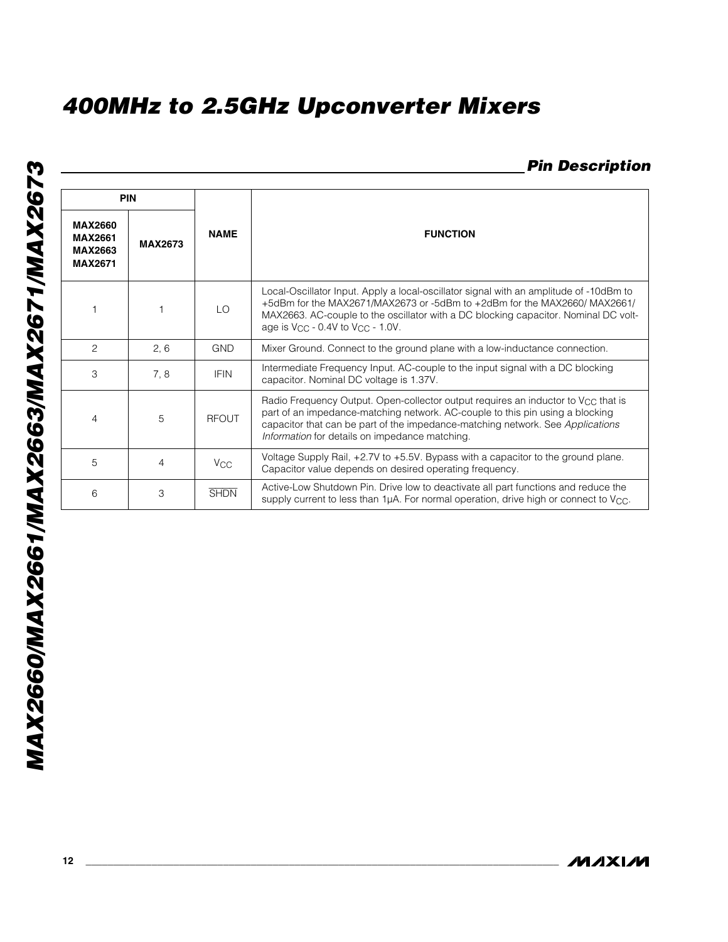### *Pin Description*

|                                                                      | <b>PIN</b>     |                       |                                                                                                                                                                                                                                                                                                             |
|----------------------------------------------------------------------|----------------|-----------------------|-------------------------------------------------------------------------------------------------------------------------------------------------------------------------------------------------------------------------------------------------------------------------------------------------------------|
| <b>MAX2660</b><br><b>MAX2661</b><br><b>MAX2663</b><br><b>MAX2671</b> | <b>MAX2673</b> | <b>NAME</b>           | <b>FUNCTION</b>                                                                                                                                                                                                                                                                                             |
|                                                                      |                | LO                    | Local-Oscillator Input. Apply a local-oscillator signal with an amplitude of -10dBm to<br>+5dBm for the MAX2671/MAX2673 or -5dBm to +2dBm for the MAX2660/MAX2661/<br>MAX2663. AC-couple to the oscillator with a DC blocking capacitor. Nominal DC volt-<br>age is $V_{CC}$ - 0.4V to $V_{CC}$ - 1.0V.     |
| 2                                                                    | 2, 6           | <b>GND</b>            | Mixer Ground. Connect to the ground plane with a low-inductance connection.                                                                                                                                                                                                                                 |
| 3                                                                    | 7.8            | <b>IFIN</b>           | Intermediate Frequency Input. AC-couple to the input signal with a DC blocking<br>capacitor. Nominal DC voltage is 1.37V.                                                                                                                                                                                   |
| 4                                                                    | 5              | <b>RFOUT</b>          | Radio Frequency Output. Open-collector output requires an inductor to $V_{CC}$ that is<br>part of an impedance-matching network. AC-couple to this pin using a blocking<br>capacitor that can be part of the impedance-matching network. See Applications<br>Information for details on impedance matching. |
| 5                                                                    | $\overline{4}$ | <b>V<sub>CC</sub></b> | Voltage Supply Rail, +2.7V to +5.5V. Bypass with a capacitor to the ground plane.<br>Capacitor value depends on desired operating frequency.                                                                                                                                                                |
| 6                                                                    | 3              | <b>SHDN</b>           | Active-Low Shutdown Pin. Drive low to deactivate all part functions and reduce the<br>supply current to less than 1µA. For normal operation, drive high or connect to $V_{\rm CC}$ .                                                                                                                        |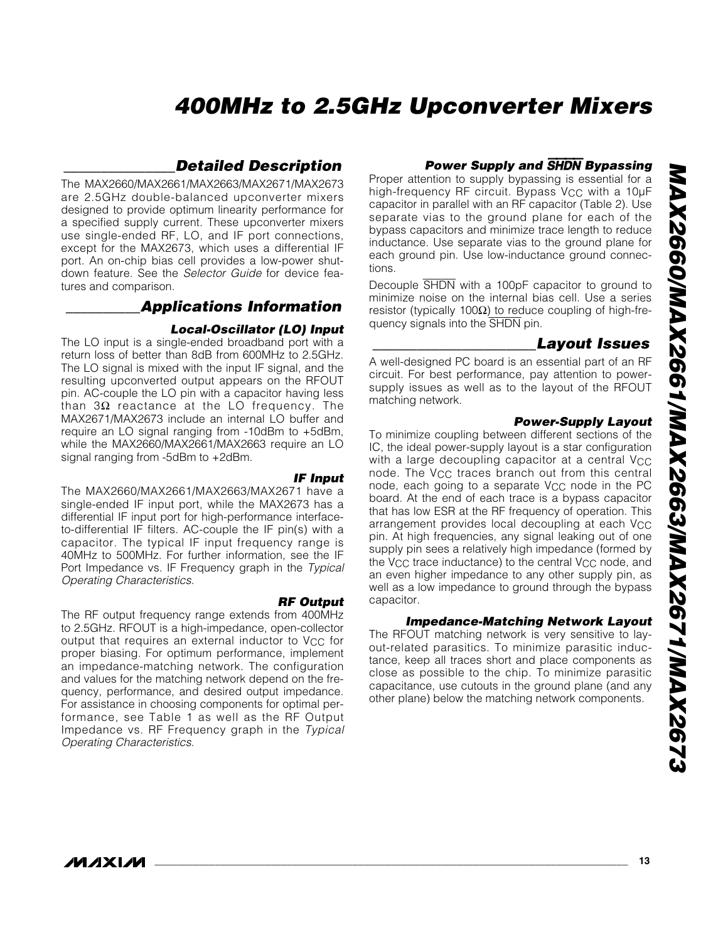#### *\_\_\_\_\_\_\_\_\_\_\_\_\_\_\_Detailed Description*

The MAX2660/MAX2661/MAX2663/MAX2671/MAX2673 are 2.5GHz double-balanced upconverter mixers designed to provide optimum linearity performance for a specified supply current. These upconverter mixers use single-ended RF, LO, and IF port connections, except for the MAX2673, which uses a differential IF port. An on-chip bias cell provides a low-power shutdown feature. See the *Selector Guide* for device features and comparison.

#### *\_\_\_\_\_\_\_\_\_\_Applications Information*

#### *Local-Oscillator (LO) Input*

The LO input is a single-ended broadband port with a return loss of better than 8dB from 600MHz to 2.5GHz. The LO signal is mixed with the input IF signal, and the resulting upconverted output appears on the RFOUT pin. AC-couple the LO pin with a capacitor having less than  $3Ω$  reactance at the LO frequency. The MAX2671/MAX2673 include an internal LO buffer and require an LO signal ranging from -10dBm to +5dBm, while the MAX2660/MAX2661/MAX2663 require an LO signal ranging from -5dBm to +2dBm.

The MAX2660/MAX2661/MAX2663/MAX2671 have a single-ended IF input port, while the MAX2673 has a differential IF input port for high-performance interfaceto-differential IF filters. AC-couple the IF pin(s) with a capacitor. The typical IF input frequency range is 40MHz to 500MHz. For further information, see the IF Port Impedance vs. IF Frequency graph in the *Typical Operating Characteristics.* 

*RF Output* The RF output frequency range extends from 400MHz to 2.5GHz. RFOUT is a high-impedance, open-collector output that requires an external inductor to V<sub>CC</sub> for proper biasing. For optimum performance, implement an impedance-matching network. The configuration and values for the matching network depend on the frequency, performance, and desired output impedance. For assistance in choosing components for optimal performance, see Table 1 as well as the RF Output Impedance vs. RF Frequency graph in the *Typical Operating Characteristics*.

#### *IF Input*

#### *Power Supply and* SHDN *Bypassing*

Proper attention to supply bypassing is essential for a high-frequency RF circuit. Bypass V<sub>CC</sub> with a 10µF capacitor in parallel with an RF capacitor (Table 2). Use separate vias to the ground plane for each of the bypass capacitors and minimize trace length to reduce inductance. Use separate vias to the ground plane for each ground pin. Use low-inductance ground connections.

Decouple SHDN with a 100pF capacitor to ground to minimize noise on the internal bias cell. Use a series resistor (typically 100Ω) to reduce coupling of high-frequency signals into the SHDN pin.

#### *\_\_\_\_\_\_\_\_\_\_\_\_\_\_\_\_\_\_\_\_\_\_Layout Issues*

A well-designed PC board is an essential part of an RF circuit. For best performance, pay attention to powersupply issues as well as to the layout of the RFOUT matching network.

#### *Power-Supply Layout*

To minimize coupling between different sections of the IC, the ideal power-supply layout is a star configuration with a large decoupling capacitor at a central  $V_{CC}$ node. The V<sub>CC</sub> traces branch out from this central node, each going to a separate  $V_{CC}$  node in the PC board. At the end of each trace is a bypass capacitor that has low ESR at the RF frequency of operation. This arrangement provides local decoupling at each V<sub>CC</sub> pin. At high frequencies, any signal leaking out of one supply pin sees a relatively high impedance (formed by the V<sub>CC</sub> trace inductance) to the central V<sub>CC</sub> node, and an even higher impedance to any other supply pin, as well as a low impedance to ground through the bypass capacitor.

#### *Impedance-Matching Network Layout*

The RFOUT matching network is very sensitive to layout-related parasitics. To minimize parasitic inductance, keep all traces short and place components as close as possible to the chip. To minimize parasitic capacitance, use cutouts in the ground plane (and any other plane) below the matching network components.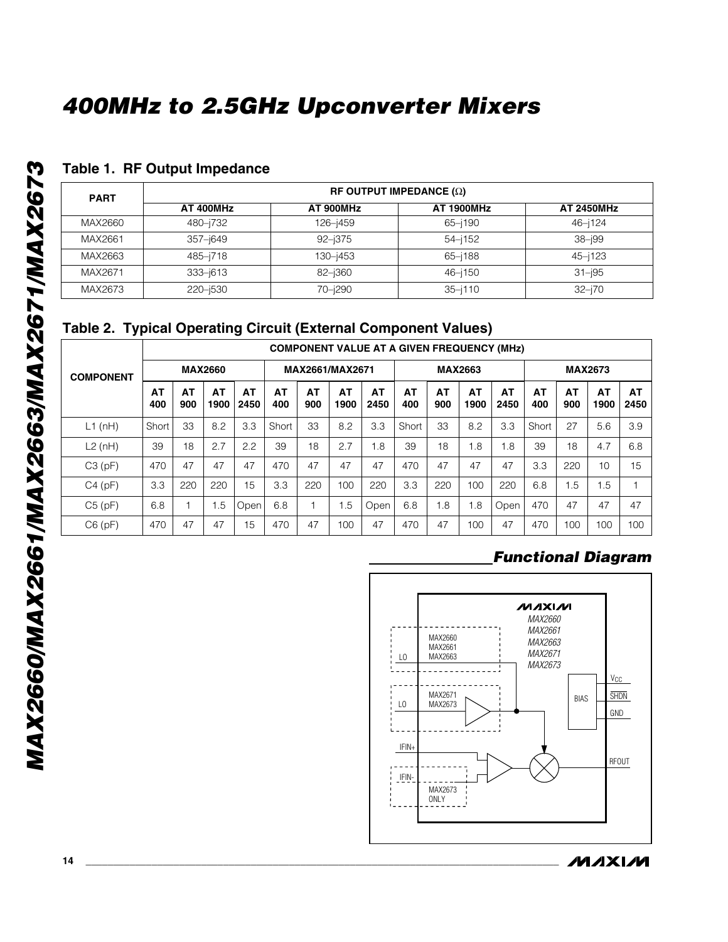#### **Table 1. RF Output Impedance**

| <b>PART</b> | RF OUTPUT IMPEDANCE $(\Omega)$ |            |                   |                   |  |  |  |  |  |  |  |
|-------------|--------------------------------|------------|-------------------|-------------------|--|--|--|--|--|--|--|
|             | AT 400MHz                      | AT 900MHz  | <b>AT 1900MHz</b> | <b>AT 2450MHz</b> |  |  |  |  |  |  |  |
| MAX2660     | 480-j732                       | 126-j459   | $65 - 190$        | $46 - 124$        |  |  |  |  |  |  |  |
| MAX2661     | 357–j649                       | $92 - 375$ | $54 - 152$        | $38 - 199$        |  |  |  |  |  |  |  |
| MAX2663     | 485-j718                       | 130-j453   | $65 - 188$        | $45 - 123$        |  |  |  |  |  |  |  |
| MAX2671     | $333 - 613$                    | 82-j360    | $46 - 150$        | $31 - 195$        |  |  |  |  |  |  |  |
| MAX2673     | 220-j530                       | 70-j290    | $35 - i110$       | $32 - i70$        |  |  |  |  |  |  |  |

### **Table 2. Typical Operating Circuit (External Component Values)**

|                  |                | <b>COMPONENT VALUE AT A GIVEN FREQUENCY (MHz)</b> |            |                   |                  |           |            |                |           |                 |            |                |           |           |            |            |
|------------------|----------------|---------------------------------------------------|------------|-------------------|------------------|-----------|------------|----------------|-----------|-----------------|------------|----------------|-----------|-----------|------------|------------|
| <b>COMPONENT</b> | <b>MAX2660</b> |                                                   |            |                   | MAX2661/MAX2671  |           |            | <b>MAX2663</b> |           |                 |            | <b>MAX2673</b> |           |           |            |            |
|                  | AT<br>400      | AT<br>900                                         | AT<br>1900 | <b>AT</b><br>2450 | <b>AT</b><br>400 | AT<br>900 | AT<br>1900 | AT<br>2450     | AΤ<br>400 | AT<br>900       | AT<br>1900 | AT<br>2450     | AT<br>400 | AT<br>900 | AT<br>1900 | AT<br>2450 |
| $L1$ (nH)        | Short          | 33                                                | 8.2        | 3.3               | Short            | 33        | 8.2        | 3.3            | Short     | 33              | 8.2        | 3.3            | Short     | 27        | 5.6        | 3.9        |
| L2(nH)           | 39             | 18                                                | 2.7        | 2.2               | 39               | 18        | 2.7        | .8             | 39        | 18              | .8         | .8             | 39        | 18        | 4.7        | 6.8        |
| C3(pF)           | 470            | 47                                                | 47         | 47                | 470              | 47        | 47         | 47             | 470       | 47              | 47         | 47             | 3.3       | 220       | 10         | 15         |
| C4(pF)           | 3.3            | 220                                               | 220        | 15                | 3.3              | 220       | 100        | 220            | 3.3       | 220             | 100        | 220            | 6.8       | 1.5       | 1.5        |            |
| C5(pF)           | 6.8            |                                                   | 1.5        | Open              | 6.8              |           | .5         | Open           | 6.8       | $\overline{.8}$ | .8         | Open           | 470       | 47        | 47         | 47         |
| C6(pF)           | 470            | 47                                                | 47         | 15                | 470              | 47        | 100        | 47             | 470       | 47              | 100        | 47             | 470       | 100       | 100        | 100        |

### *Functional Diagram*

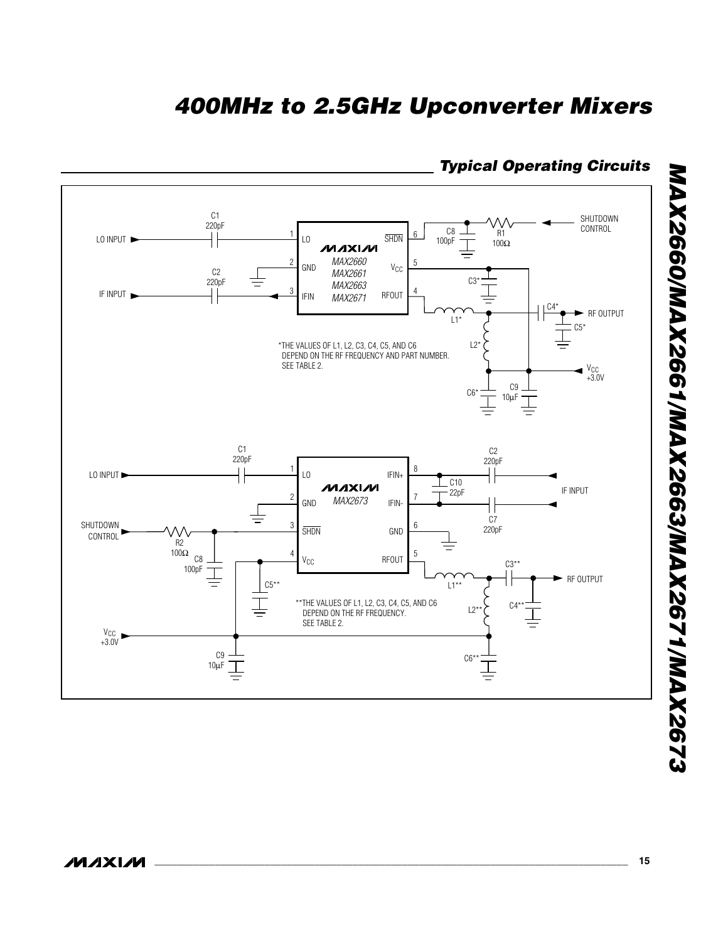

### *Typical Operating Circuits*

MAX2660/MAX2661/MAX2663/MAX2671/MAX2673 *MAX2660/MAX2661/MAX2663/MAX2671/MAX2673*